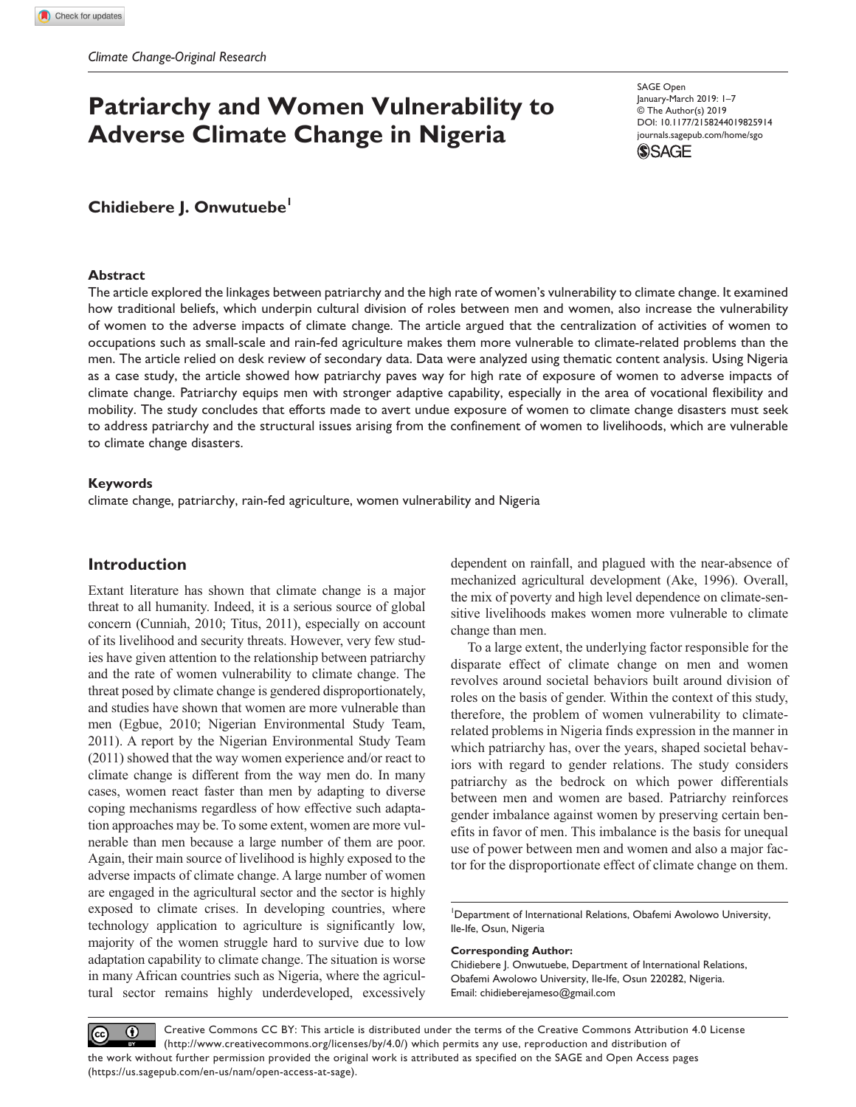# **Patriarchy and Women Vulnerability to Adverse Climate Change in Nigeria**

https://doi.org/10.1177/2158244019825914 DOI: 10.1177/2158244019825914 SAGE Open January-March 2019: 1–7 © The Author(s) 2019 [journals.sagepub.com/home/sgo](https://journals.sagepub.com/home/sgo)



# **Chidiebere J. Onwutuebe1**

#### **Abstract**

The article explored the linkages between patriarchy and the high rate of women's vulnerability to climate change. It examined how traditional beliefs, which underpin cultural division of roles between men and women, also increase the vulnerability of women to the adverse impacts of climate change. The article argued that the centralization of activities of women to occupations such as small-scale and rain-fed agriculture makes them more vulnerable to climate-related problems than the men. The article relied on desk review of secondary data. Data were analyzed using thematic content analysis. Using Nigeria as a case study, the article showed how patriarchy paves way for high rate of exposure of women to adverse impacts of climate change. Patriarchy equips men with stronger adaptive capability, especially in the area of vocational flexibility and mobility. The study concludes that efforts made to avert undue exposure of women to climate change disasters must seek to address patriarchy and the structural issues arising from the confinement of women to livelihoods, which are vulnerable to climate change disasters.

#### **Keywords**

climate change, patriarchy, rain-fed agriculture, women vulnerability and Nigeria

## **Introduction**

Extant literature has shown that climate change is a major threat to all humanity. Indeed, it is a serious source of global concern (Cunniah, 2010; Titus, 2011), especially on account of its livelihood and security threats. However, very few studies have given attention to the relationship between patriarchy and the rate of women vulnerability to climate change. The threat posed by climate change is gendered disproportionately, and studies have shown that women are more vulnerable than men (Egbue, 2010; Nigerian Environmental Study Team, 2011). A report by the Nigerian Environmental Study Team (2011) showed that the way women experience and/or react to climate change is different from the way men do. In many cases, women react faster than men by adapting to diverse coping mechanisms regardless of how effective such adaptation approaches may be. To some extent, women are more vulnerable than men because a large number of them are poor. Again, their main source of livelihood is highly exposed to the adverse impacts of climate change. A large number of women are engaged in the agricultural sector and the sector is highly exposed to climate crises. In developing countries, where technology application to agriculture is significantly low, majority of the women struggle hard to survive due to low adaptation capability to climate change. The situation is worse in many African countries such as Nigeria, where the agricultural sector remains highly underdeveloped, excessively dependent on rainfall, and plagued with the near-absence of mechanized agricultural development (Ake, 1996). Overall, the mix of poverty and high level dependence on climate-sensitive livelihoods makes women more vulnerable to climate change than men.

To a large extent, the underlying factor responsible for the disparate effect of climate change on men and women revolves around societal behaviors built around division of roles on the basis of gender. Within the context of this study, therefore, the problem of women vulnerability to climaterelated problems in Nigeria finds expression in the manner in which patriarchy has, over the years, shaped societal behaviors with regard to gender relations. The study considers patriarchy as the bedrock on which power differentials between men and women are based. Patriarchy reinforces gender imbalance against women by preserving certain benefits in favor of men. This imbalance is the basis for unequal use of power between men and women and also a major factor for the disproportionate effect of climate change on them.

<sup>1</sup>Department of International Relations, Obafemi Awolowo University, Ile-Ife, Osun, Nigeria

#### **Corresponding Author:**

Chidiebere J. Onwutuebe, Department of International Relations, Obafemi Awolowo University, Ile-Ife, Osun 220282, Nigeria. Email: chidieberejameso@gmail.com

Creative Commons CC BY: This article is distributed under the terms of the Creative Commons Attribution 4.0 License  $\odot$  $(cc)$ (http://www.creativecommons.org/licenses/by/4.0/) which permits any use, reproduction and distribution of the work without further permission provided the original work is attributed as specified on the SAGE and Open Access pages (https://us.sagepub.com/en-us/nam/open-access-at-sage).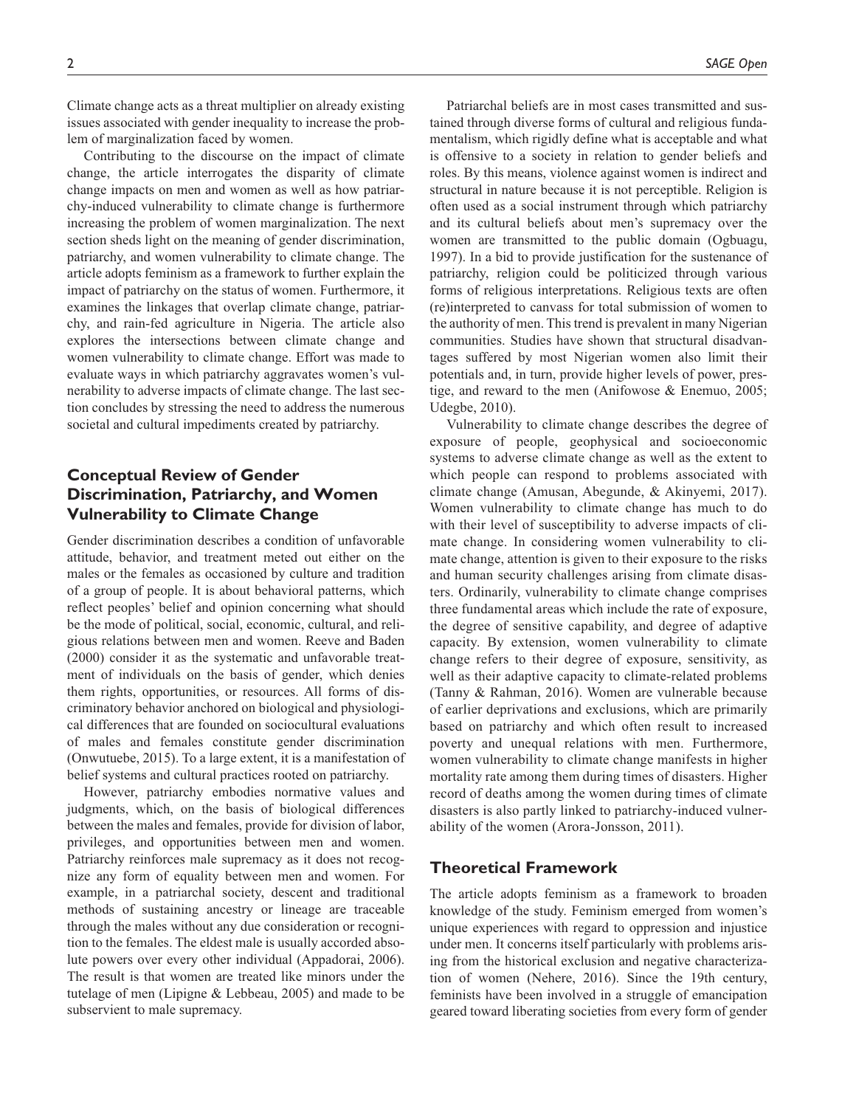Climate change acts as a threat multiplier on already existing issues associated with gender inequality to increase the problem of marginalization faced by women.

Contributing to the discourse on the impact of climate change, the article interrogates the disparity of climate change impacts on men and women as well as how patriarchy-induced vulnerability to climate change is furthermore increasing the problem of women marginalization. The next section sheds light on the meaning of gender discrimination, patriarchy, and women vulnerability to climate change. The article adopts feminism as a framework to further explain the impact of patriarchy on the status of women. Furthermore, it examines the linkages that overlap climate change, patriarchy, and rain-fed agriculture in Nigeria. The article also explores the intersections between climate change and women vulnerability to climate change. Effort was made to evaluate ways in which patriarchy aggravates women's vulnerability to adverse impacts of climate change. The last section concludes by stressing the need to address the numerous societal and cultural impediments created by patriarchy.

# **Conceptual Review of Gender Discrimination, Patriarchy, and Women Vulnerability to Climate Change**

Gender discrimination describes a condition of unfavorable attitude, behavior, and treatment meted out either on the males or the females as occasioned by culture and tradition of a group of people. It is about behavioral patterns, which reflect peoples' belief and opinion concerning what should be the mode of political, social, economic, cultural, and religious relations between men and women. Reeve and Baden (2000) consider it as the systematic and unfavorable treatment of individuals on the basis of gender, which denies them rights, opportunities, or resources. All forms of discriminatory behavior anchored on biological and physiological differences that are founded on sociocultural evaluations of males and females constitute gender discrimination (Onwutuebe, 2015). To a large extent, it is a manifestation of belief systems and cultural practices rooted on patriarchy.

However, patriarchy embodies normative values and judgments, which, on the basis of biological differences between the males and females, provide for division of labor, privileges, and opportunities between men and women. Patriarchy reinforces male supremacy as it does not recognize any form of equality between men and women. For example, in a patriarchal society, descent and traditional methods of sustaining ancestry or lineage are traceable through the males without any due consideration or recognition to the females. The eldest male is usually accorded absolute powers over every other individual (Appadorai, 2006). The result is that women are treated like minors under the tutelage of men (Lipigne & Lebbeau, 2005) and made to be subservient to male supremacy.

Patriarchal beliefs are in most cases transmitted and sustained through diverse forms of cultural and religious fundamentalism, which rigidly define what is acceptable and what is offensive to a society in relation to gender beliefs and roles. By this means, violence against women is indirect and structural in nature because it is not perceptible. Religion is often used as a social instrument through which patriarchy and its cultural beliefs about men's supremacy over the women are transmitted to the public domain (Ogbuagu, 1997). In a bid to provide justification for the sustenance of patriarchy, religion could be politicized through various forms of religious interpretations. Religious texts are often (re)interpreted to canvass for total submission of women to the authority of men. This trend is prevalent in many Nigerian communities. Studies have shown that structural disadvantages suffered by most Nigerian women also limit their potentials and, in turn, provide higher levels of power, prestige, and reward to the men (Anifowose & Enemuo, 2005; Udegbe, 2010).

Vulnerability to climate change describes the degree of exposure of people, geophysical and socioeconomic systems to adverse climate change as well as the extent to which people can respond to problems associated with climate change (Amusan, Abegunde, & Akinyemi, 2017). Women vulnerability to climate change has much to do with their level of susceptibility to adverse impacts of climate change. In considering women vulnerability to climate change, attention is given to their exposure to the risks and human security challenges arising from climate disasters. Ordinarily, vulnerability to climate change comprises three fundamental areas which include the rate of exposure, the degree of sensitive capability, and degree of adaptive capacity. By extension, women vulnerability to climate change refers to their degree of exposure, sensitivity, as well as their adaptive capacity to climate-related problems (Tanny & Rahman, 2016). Women are vulnerable because of earlier deprivations and exclusions, which are primarily based on patriarchy and which often result to increased poverty and unequal relations with men. Furthermore, women vulnerability to climate change manifests in higher mortality rate among them during times of disasters. Higher record of deaths among the women during times of climate disasters is also partly linked to patriarchy-induced vulnerability of the women (Arora-Jonsson, 2011).

### **Theoretical Framework**

The article adopts feminism as a framework to broaden knowledge of the study. Feminism emerged from women's unique experiences with regard to oppression and injustice under men. It concerns itself particularly with problems arising from the historical exclusion and negative characterization of women (Nehere, 2016). Since the 19th century, feminists have been involved in a struggle of emancipation geared toward liberating societies from every form of gender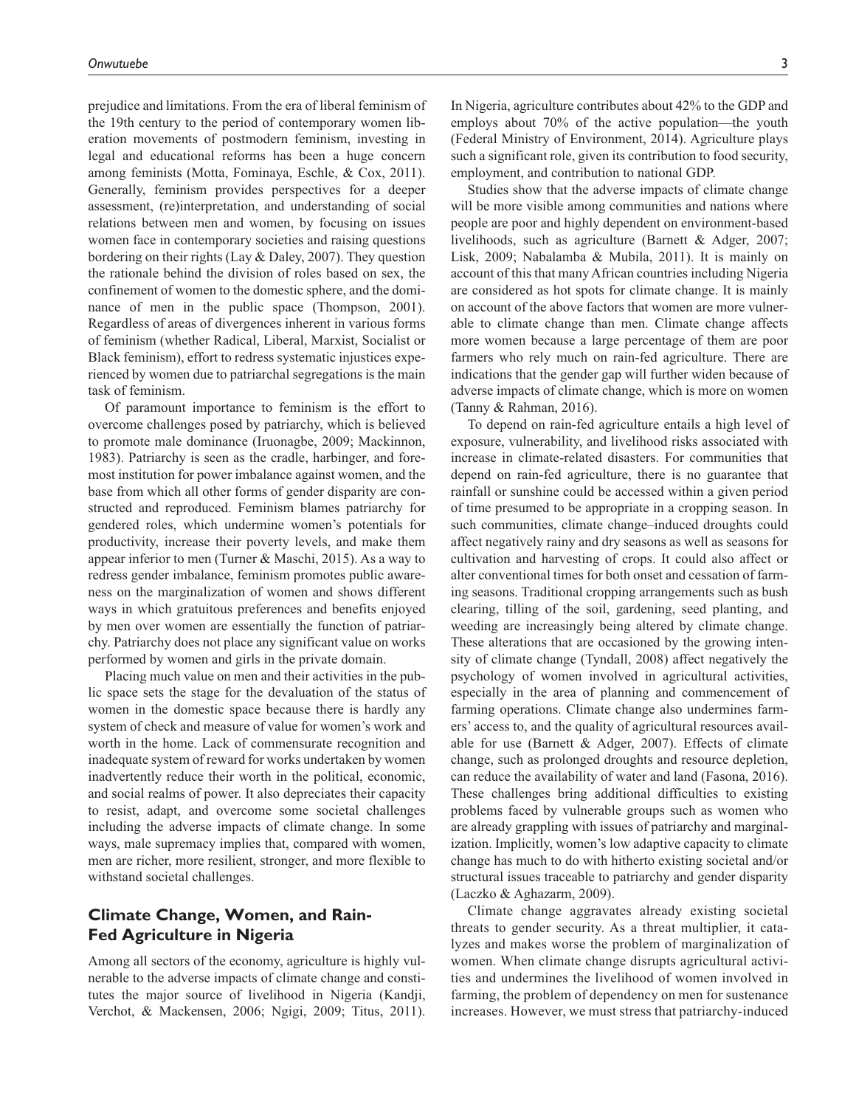prejudice and limitations. From the era of liberal feminism of the 19th century to the period of contemporary women liberation movements of postmodern feminism, investing in legal and educational reforms has been a huge concern among feminists (Motta, Fominaya, Eschle, & Cox, 2011). Generally, feminism provides perspectives for a deeper assessment, (re)interpretation, and understanding of social relations between men and women, by focusing on issues women face in contemporary societies and raising questions bordering on their rights (Lay & Daley, 2007). They question the rationale behind the division of roles based on sex, the confinement of women to the domestic sphere, and the dominance of men in the public space (Thompson, 2001). Regardless of areas of divergences inherent in various forms of feminism (whether Radical, Liberal, Marxist, Socialist or Black feminism), effort to redress systematic injustices experienced by women due to patriarchal segregations is the main task of feminism.

Of paramount importance to feminism is the effort to overcome challenges posed by patriarchy, which is believed to promote male dominance (Iruonagbe, 2009; Mackinnon, 1983). Patriarchy is seen as the cradle, harbinger, and foremost institution for power imbalance against women, and the base from which all other forms of gender disparity are constructed and reproduced. Feminism blames patriarchy for gendered roles, which undermine women's potentials for productivity, increase their poverty levels, and make them appear inferior to men (Turner & Maschi, 2015). As a way to redress gender imbalance, feminism promotes public awareness on the marginalization of women and shows different ways in which gratuitous preferences and benefits enjoyed by men over women are essentially the function of patriarchy. Patriarchy does not place any significant value on works performed by women and girls in the private domain.

Placing much value on men and their activities in the public space sets the stage for the devaluation of the status of women in the domestic space because there is hardly any system of check and measure of value for women's work and worth in the home. Lack of commensurate recognition and inadequate system of reward for works undertaken by women inadvertently reduce their worth in the political, economic, and social realms of power. It also depreciates their capacity to resist, adapt, and overcome some societal challenges including the adverse impacts of climate change. In some ways, male supremacy implies that, compared with women, men are richer, more resilient, stronger, and more flexible to withstand societal challenges.

# **Climate Change, Women, and Rain-Fed Agriculture in Nigeria**

Among all sectors of the economy, agriculture is highly vulnerable to the adverse impacts of climate change and constitutes the major source of livelihood in Nigeria (Kandji, Verchot, & Mackensen, 2006; Ngigi, 2009; Titus, 2011).

In Nigeria, agriculture contributes about 42% to the GDP and employs about 70% of the active population—the youth (Federal Ministry of Environment, 2014). Agriculture plays such a significant role, given its contribution to food security, employment, and contribution to national GDP.

Studies show that the adverse impacts of climate change will be more visible among communities and nations where people are poor and highly dependent on environment-based livelihoods, such as agriculture (Barnett & Adger, 2007; Lisk, 2009; Nabalamba & Mubila, 2011). It is mainly on account of this that many African countries including Nigeria are considered as hot spots for climate change. It is mainly on account of the above factors that women are more vulnerable to climate change than men. Climate change affects more women because a large percentage of them are poor farmers who rely much on rain-fed agriculture. There are indications that the gender gap will further widen because of adverse impacts of climate change, which is more on women (Tanny & Rahman, 2016).

To depend on rain-fed agriculture entails a high level of exposure, vulnerability, and livelihood risks associated with increase in climate-related disasters. For communities that depend on rain-fed agriculture, there is no guarantee that rainfall or sunshine could be accessed within a given period of time presumed to be appropriate in a cropping season. In such communities, climate change–induced droughts could affect negatively rainy and dry seasons as well as seasons for cultivation and harvesting of crops. It could also affect or alter conventional times for both onset and cessation of farming seasons. Traditional cropping arrangements such as bush clearing, tilling of the soil, gardening, seed planting, and weeding are increasingly being altered by climate change. These alterations that are occasioned by the growing intensity of climate change (Tyndall, 2008) affect negatively the psychology of women involved in agricultural activities, especially in the area of planning and commencement of farming operations. Climate change also undermines farmers' access to, and the quality of agricultural resources available for use (Barnett & Adger, 2007). Effects of climate change, such as prolonged droughts and resource depletion, can reduce the availability of water and land (Fasona, 2016). These challenges bring additional difficulties to existing problems faced by vulnerable groups such as women who are already grappling with issues of patriarchy and marginalization. Implicitly, women's low adaptive capacity to climate change has much to do with hitherto existing societal and/or structural issues traceable to patriarchy and gender disparity (Laczko & Aghazarm, 2009).

Climate change aggravates already existing societal threats to gender security. As a threat multiplier, it catalyzes and makes worse the problem of marginalization of women. When climate change disrupts agricultural activities and undermines the livelihood of women involved in farming, the problem of dependency on men for sustenance increases. However, we must stress that patriarchy-induced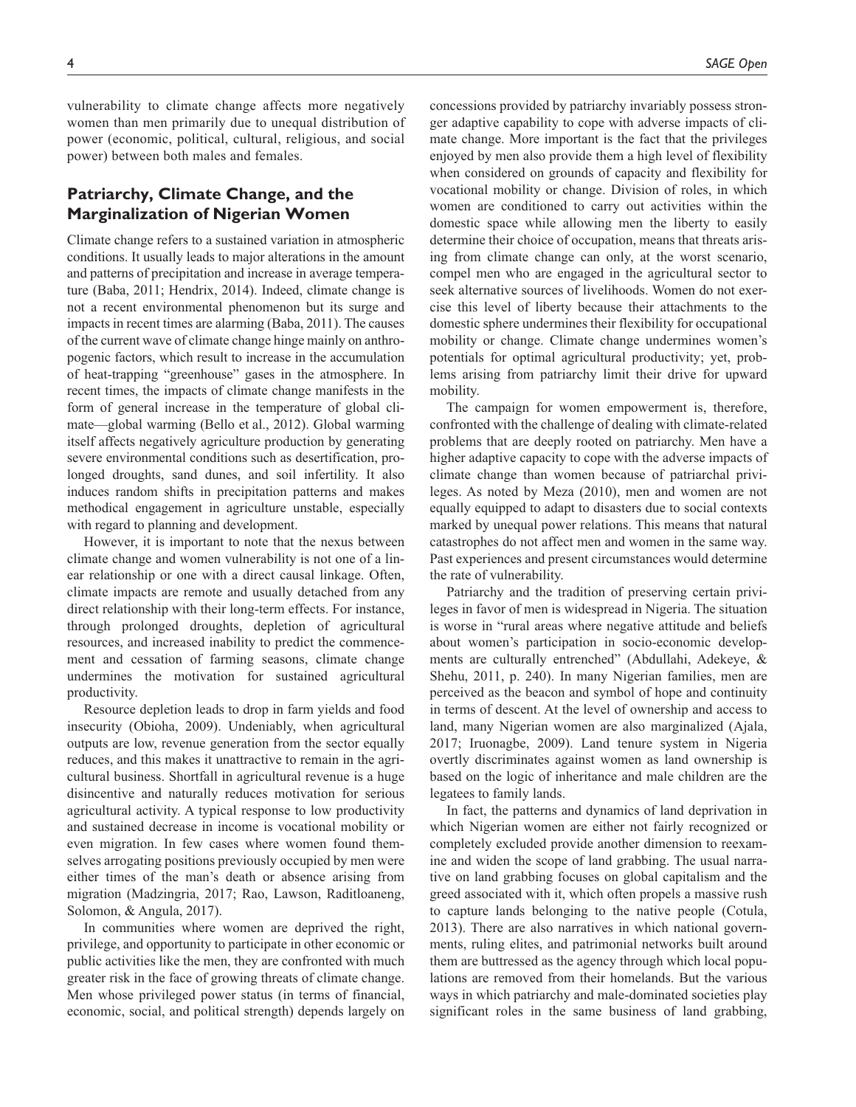vulnerability to climate change affects more negatively women than men primarily due to unequal distribution of power (economic, political, cultural, religious, and social power) between both males and females.

# **Patriarchy, Climate Change, and the Marginalization of Nigerian Women**

Climate change refers to a sustained variation in atmospheric conditions. It usually leads to major alterations in the amount and patterns of precipitation and increase in average temperature (Baba, 2011; Hendrix, 2014). Indeed, climate change is not a recent environmental phenomenon but its surge and impacts in recent times are alarming (Baba, 2011). The causes of the current wave of climate change hinge mainly on anthropogenic factors, which result to increase in the accumulation of heat-trapping "greenhouse" gases in the atmosphere. In recent times, the impacts of climate change manifests in the form of general increase in the temperature of global climate—global warming (Bello et al., 2012). Global warming itself affects negatively agriculture production by generating severe environmental conditions such as desertification, prolonged droughts, sand dunes, and soil infertility. It also induces random shifts in precipitation patterns and makes methodical engagement in agriculture unstable, especially with regard to planning and development.

However, it is important to note that the nexus between climate change and women vulnerability is not one of a linear relationship or one with a direct causal linkage. Often, climate impacts are remote and usually detached from any direct relationship with their long-term effects. For instance, through prolonged droughts, depletion of agricultural resources, and increased inability to predict the commencement and cessation of farming seasons, climate change undermines the motivation for sustained agricultural productivity.

Resource depletion leads to drop in farm yields and food insecurity (Obioha, 2009). Undeniably, when agricultural outputs are low, revenue generation from the sector equally reduces, and this makes it unattractive to remain in the agricultural business. Shortfall in agricultural revenue is a huge disincentive and naturally reduces motivation for serious agricultural activity. A typical response to low productivity and sustained decrease in income is vocational mobility or even migration. In few cases where women found themselves arrogating positions previously occupied by men were either times of the man's death or absence arising from migration (Madzingria, 2017; Rao, Lawson, Raditloaneng, Solomon, & Angula, 2017).

In communities where women are deprived the right, privilege, and opportunity to participate in other economic or public activities like the men, they are confronted with much greater risk in the face of growing threats of climate change. Men whose privileged power status (in terms of financial, economic, social, and political strength) depends largely on

concessions provided by patriarchy invariably possess stronger adaptive capability to cope with adverse impacts of climate change. More important is the fact that the privileges enjoyed by men also provide them a high level of flexibility when considered on grounds of capacity and flexibility for vocational mobility or change. Division of roles, in which women are conditioned to carry out activities within the domestic space while allowing men the liberty to easily determine their choice of occupation, means that threats arising from climate change can only, at the worst scenario, compel men who are engaged in the agricultural sector to seek alternative sources of livelihoods. Women do not exercise this level of liberty because their attachments to the domestic sphere undermines their flexibility for occupational mobility or change. Climate change undermines women's potentials for optimal agricultural productivity; yet, problems arising from patriarchy limit their drive for upward mobility.

The campaign for women empowerment is, therefore, confronted with the challenge of dealing with climate-related problems that are deeply rooted on patriarchy. Men have a higher adaptive capacity to cope with the adverse impacts of climate change than women because of patriarchal privileges. As noted by Meza (2010), men and women are not equally equipped to adapt to disasters due to social contexts marked by unequal power relations. This means that natural catastrophes do not affect men and women in the same way. Past experiences and present circumstances would determine the rate of vulnerability.

Patriarchy and the tradition of preserving certain privileges in favor of men is widespread in Nigeria. The situation is worse in "rural areas where negative attitude and beliefs about women's participation in socio-economic developments are culturally entrenched" (Abdullahi, Adekeye, & Shehu, 2011, p. 240). In many Nigerian families, men are perceived as the beacon and symbol of hope and continuity in terms of descent. At the level of ownership and access to land, many Nigerian women are also marginalized (Ajala, 2017; Iruonagbe, 2009). Land tenure system in Nigeria overtly discriminates against women as land ownership is based on the logic of inheritance and male children are the legatees to family lands.

In fact, the patterns and dynamics of land deprivation in which Nigerian women are either not fairly recognized or completely excluded provide another dimension to reexamine and widen the scope of land grabbing. The usual narrative on land grabbing focuses on global capitalism and the greed associated with it, which often propels a massive rush to capture lands belonging to the native people (Cotula, 2013). There are also narratives in which national governments, ruling elites, and patrimonial networks built around them are buttressed as the agency through which local populations are removed from their homelands. But the various ways in which patriarchy and male-dominated societies play significant roles in the same business of land grabbing,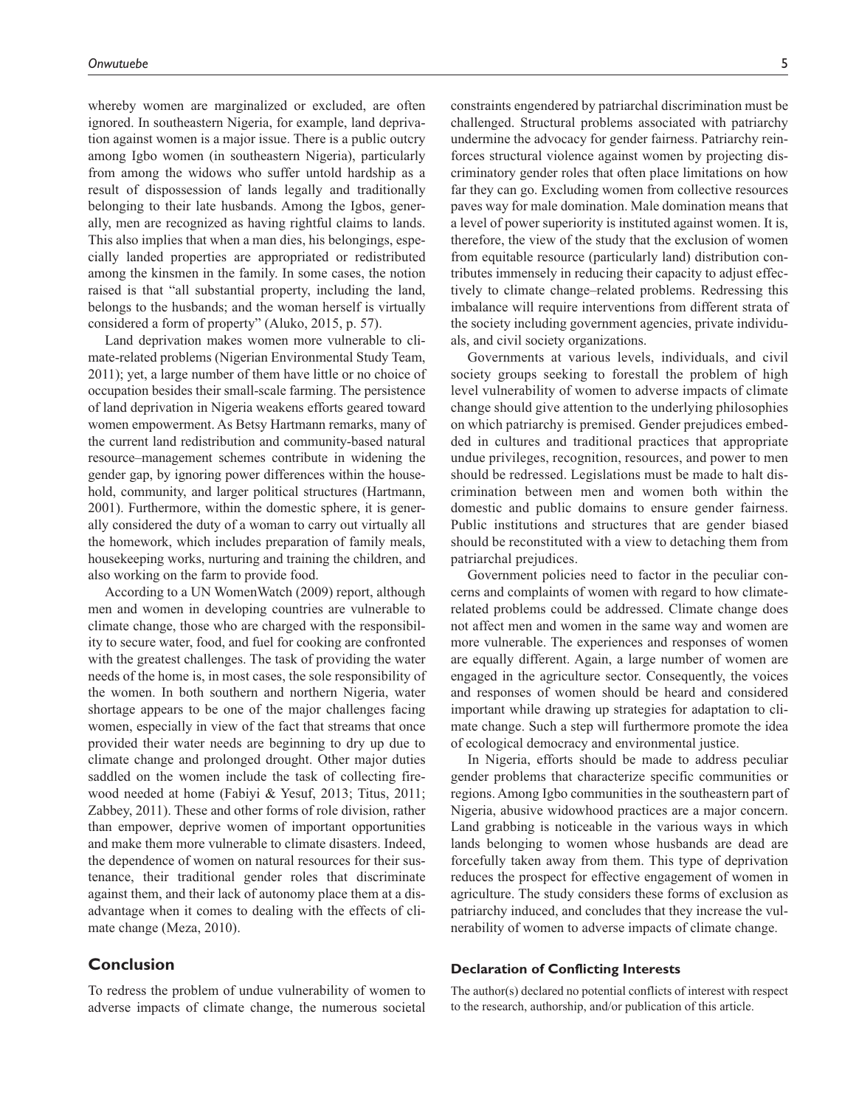whereby women are marginalized or excluded, are often ignored. In southeastern Nigeria, for example, land deprivation against women is a major issue. There is a public outcry among Igbo women (in southeastern Nigeria), particularly from among the widows who suffer untold hardship as a result of dispossession of lands legally and traditionally belonging to their late husbands. Among the Igbos, generally, men are recognized as having rightful claims to lands. This also implies that when a man dies, his belongings, especially landed properties are appropriated or redistributed among the kinsmen in the family. In some cases, the notion raised is that "all substantial property, including the land, belongs to the husbands; and the woman herself is virtually considered a form of property" (Aluko, 2015, p. 57).

Land deprivation makes women more vulnerable to climate-related problems (Nigerian Environmental Study Team, 2011); yet, a large number of them have little or no choice of occupation besides their small-scale farming. The persistence of land deprivation in Nigeria weakens efforts geared toward women empowerment. As Betsy Hartmann remarks, many of the current land redistribution and community-based natural resource–management schemes contribute in widening the gender gap, by ignoring power differences within the household, community, and larger political structures (Hartmann, 2001). Furthermore, within the domestic sphere, it is generally considered the duty of a woman to carry out virtually all the homework, which includes preparation of family meals, housekeeping works, nurturing and training the children, and also working on the farm to provide food.

According to a UN WomenWatch (2009) report, although men and women in developing countries are vulnerable to climate change, those who are charged with the responsibility to secure water, food, and fuel for cooking are confronted with the greatest challenges. The task of providing the water needs of the home is, in most cases, the sole responsibility of the women. In both southern and northern Nigeria, water shortage appears to be one of the major challenges facing women, especially in view of the fact that streams that once provided their water needs are beginning to dry up due to climate change and prolonged drought. Other major duties saddled on the women include the task of collecting firewood needed at home (Fabiyi & Yesuf, 2013; Titus, 2011; Zabbey, 2011). These and other forms of role division, rather than empower, deprive women of important opportunities and make them more vulnerable to climate disasters. Indeed, the dependence of women on natural resources for their sustenance, their traditional gender roles that discriminate against them, and their lack of autonomy place them at a disadvantage when it comes to dealing with the effects of climate change (Meza, 2010).

## **Conclusion**

To redress the problem of undue vulnerability of women to adverse impacts of climate change, the numerous societal constraints engendered by patriarchal discrimination must be challenged. Structural problems associated with patriarchy undermine the advocacy for gender fairness. Patriarchy reinforces structural violence against women by projecting discriminatory gender roles that often place limitations on how far they can go. Excluding women from collective resources paves way for male domination. Male domination means that a level of power superiority is instituted against women. It is, therefore, the view of the study that the exclusion of women from equitable resource (particularly land) distribution contributes immensely in reducing their capacity to adjust effectively to climate change–related problems. Redressing this imbalance will require interventions from different strata of the society including government agencies, private individuals, and civil society organizations.

Governments at various levels, individuals, and civil society groups seeking to forestall the problem of high level vulnerability of women to adverse impacts of climate change should give attention to the underlying philosophies on which patriarchy is premised. Gender prejudices embedded in cultures and traditional practices that appropriate undue privileges, recognition, resources, and power to men should be redressed. Legislations must be made to halt discrimination between men and women both within the domestic and public domains to ensure gender fairness. Public institutions and structures that are gender biased should be reconstituted with a view to detaching them from patriarchal prejudices.

Government policies need to factor in the peculiar concerns and complaints of women with regard to how climaterelated problems could be addressed. Climate change does not affect men and women in the same way and women are more vulnerable. The experiences and responses of women are equally different. Again, a large number of women are engaged in the agriculture sector. Consequently, the voices and responses of women should be heard and considered important while drawing up strategies for adaptation to climate change. Such a step will furthermore promote the idea of ecological democracy and environmental justice.

In Nigeria, efforts should be made to address peculiar gender problems that characterize specific communities or regions. Among Igbo communities in the southeastern part of Nigeria, abusive widowhood practices are a major concern. Land grabbing is noticeable in the various ways in which lands belonging to women whose husbands are dead are forcefully taken away from them. This type of deprivation reduces the prospect for effective engagement of women in agriculture. The study considers these forms of exclusion as patriarchy induced, and concludes that they increase the vulnerability of women to adverse impacts of climate change.

#### **Declaration of Conflicting Interests**

The author(s) declared no potential conflicts of interest with respect to the research, authorship, and/or publication of this article.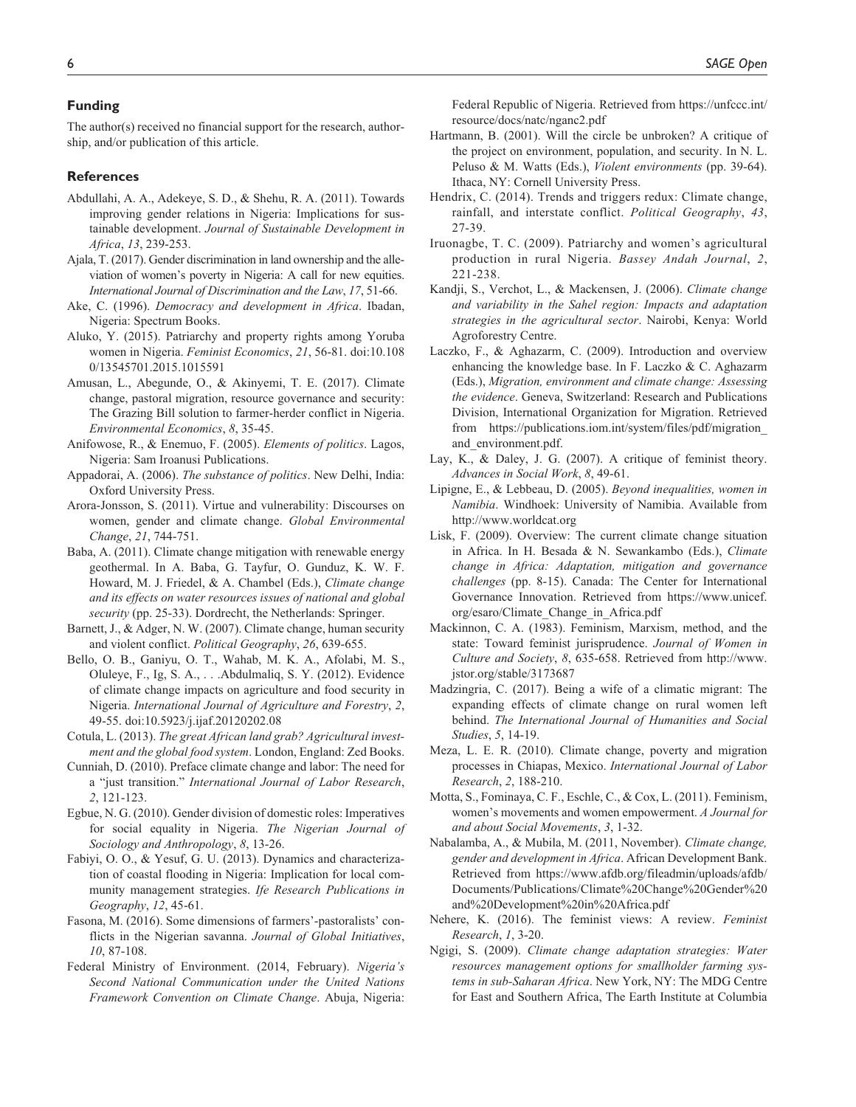## **Funding**

The author(s) received no financial support for the research, authorship, and/or publication of this article.

#### **References**

- Abdullahi, A. A., Adekeye, S. D., & Shehu, R. A. (2011). Towards improving gender relations in Nigeria: Implications for sustainable development. *Journal of Sustainable Development in Africa*, *13*, 239-253.
- Ajala, T. (2017). Gender discrimination in land ownership and the alleviation of women's poverty in Nigeria: A call for new equities. *International Journal of Discrimination and the Law*, *17*, 51-66.
- Ake, C. (1996). *Democracy and development in Africa*. Ibadan, Nigeria: Spectrum Books.
- Aluko, Y. (2015). Patriarchy and property rights among Yoruba women in Nigeria. *Feminist Economics*, *21*, 56-81. doi:10.108 0/13545701.2015.1015591
- Amusan, L., Abegunde, O., & Akinyemi, T. E. (2017). Climate change, pastoral migration, resource governance and security: The Grazing Bill solution to farmer-herder conflict in Nigeria. *Environmental Economics*, *8*, 35-45.
- Anifowose, R., & Enemuo, F. (2005). *Elements of politics*. Lagos, Nigeria: Sam Iroanusi Publications.
- Appadorai, A. (2006). *The substance of politics*. New Delhi, India: Oxford University Press.
- Arora-Jonsson, S. (2011). Virtue and vulnerability: Discourses on women, gender and climate change. *Global Environmental Change*, *21*, 744-751.
- Baba, A. (2011). Climate change mitigation with renewable energy geothermal. In A. Baba, G. Tayfur, O. Gunduz, K. W. F. Howard, M. J. Friedel, & A. Chambel (Eds.), *Climate change and its effects on water resources issues of national and global security* (pp. 25-33). Dordrecht, the Netherlands: Springer.
- Barnett, J., & Adger, N. W. (2007). Climate change, human security and violent conflict. *Political Geography*, *26*, 639-655.
- Bello, O. B., Ganiyu, O. T., Wahab, M. K. A., Afolabi, M. S., Oluleye, F., Ig, S. A., . . .Abdulmaliq, S. Y. (2012). Evidence of climate change impacts on agriculture and food security in Nigeria. *International Journal of Agriculture and Forestry*, *2*, 49-55. doi:10.5923/j.ijaf.20120202.08
- Cotula, L. (2013). *The great African land grab? Agricultural investment and the global food system*. London, England: Zed Books.
- Cunniah, D. (2010). Preface climate change and labor: The need for a "just transition." *International Journal of Labor Research*, *2*, 121-123.
- Egbue, N. G. (2010). Gender division of domestic roles: Imperatives for social equality in Nigeria. *The Nigerian Journal of Sociology and Anthropology*, *8*, 13-26.
- Fabiyi, O. O., & Yesuf, G. U. (2013). Dynamics and characterization of coastal flooding in Nigeria: Implication for local community management strategies. *Ife Research Publications in Geography*, *12*, 45-61.
- Fasona, M. (2016). Some dimensions of farmers'-pastoralists' conflicts in the Nigerian savanna. *Journal of Global Initiatives*, *10*, 87-108.
- Federal Ministry of Environment. (2014, February). *Nigeria's Second National Communication under the United Nations Framework Convention on Climate Change*. Abuja, Nigeria:

Federal Republic of Nigeria. Retrieved from https://unfccc.int/ resource/docs/natc/nganc2.pdf

- Hartmann, B. (2001). Will the circle be unbroken? A critique of the project on environment, population, and security. In N. L. Peluso & M. Watts (Eds.), *Violent environments* (pp. 39-64). Ithaca, NY: Cornell University Press.
- Hendrix, C. (2014). Trends and triggers redux: Climate change, rainfall, and interstate conflict. *Political Geography*, *43*, 27-39.
- Iruonagbe, T. C. (2009). Patriarchy and women's agricultural production in rural Nigeria. *Bassey Andah Journal*, *2*, 221-238.
- Kandji, S., Verchot, L., & Mackensen, J. (2006). *Climate change and variability in the Sahel region: Impacts and adaptation strategies in the agricultural sector*. Nairobi, Kenya: World Agroforestry Centre.
- Laczko, F., & Aghazarm, C. (2009). Introduction and overview enhancing the knowledge base. In F. Laczko & C. Aghazarm (Eds.), *Migration, environment and climate change: Assessing the evidence*. Geneva, Switzerland: Research and Publications Division, International Organization for Migration. Retrieved from [https://publications.iom.int/system/files/pdf/migration\\_](https://publications.iom.int/system/files/pdf/migration_and_environment.pdf) [and\\_environment.pdf.](https://publications.iom.int/system/files/pdf/migration_and_environment.pdf)
- Lay, K., & Daley, J. G. (2007). A critique of feminist theory. *Advances in Social Work*, *8*, 49-61.
- Lipigne, E., & Lebbeau, D. (2005). *Beyond inequalities, women in Namibia*. Windhoek: University of Namibia. Available from http://www.worldcat.org
- Lisk, F. (2009). Overview: The current climate change situation in Africa. In H. Besada & N. Sewankambo (Eds.), *Climate change in Africa: Adaptation, mitigation and governance challenges* (pp. 8-15). Canada: The Center for International Governance Innovation. Retrieved from [https://www.unicef.](https://www.unicef.org/esaro/Climate_Change_in_Africa.pdf) [org/esaro/Climate\\_Change\\_in\\_Africa.pdf](https://www.unicef.org/esaro/Climate_Change_in_Africa.pdf)
- Mackinnon, C. A. (1983). Feminism, Marxism, method, and the state: Toward feminist jurisprudence. *Journal of Women in Culture and Society*, *8*, 635-658. Retrieved from http://www. jstor.org/stable/3173687
- Madzingria, C. (2017). Being a wife of a climatic migrant: The expanding effects of climate change on rural women left behind. *The International Journal of Humanities and Social Studies*, *5*, 14-19.
- Meza, L. E. R. (2010). Climate change, poverty and migration processes in Chiapas, Mexico. *International Journal of Labor Research*, *2*, 188-210.
- Motta, S., Fominaya, C. F., Eschle, C., & Cox, L. (2011). Feminism, women's movements and women empowerment. *A Journal for and about Social Movements*, *3*, 1-32.
- Nabalamba, A., & Mubila, M. (2011, November). *Climate change, gender and development in Africa*. African Development Bank. Retrieved from [https://www.afdb.org/fileadmin/uploads/afdb/](https://www.afdb.org/fileadmin/uploads/afdb/Documents/Publications/Climate%20Change%20Gender%20and%20Development%20in%20Africa.pdf) [Documents/Publications/Climate%20Change%20Gender%20](https://www.afdb.org/fileadmin/uploads/afdb/Documents/Publications/Climate%20Change%20Gender%20and%20Development%20in%20Africa.pdf) [and%20Development%20in%20Africa.pdf](https://www.afdb.org/fileadmin/uploads/afdb/Documents/Publications/Climate%20Change%20Gender%20and%20Development%20in%20Africa.pdf)
- Nehere, K. (2016). The feminist views: A review. *Feminist Research*, *1*, 3-20.
- Ngigi, S. (2009). *Climate change adaptation strategies: Water resources management options for smallholder farming systems in sub-Saharan Africa*. New York, NY: The MDG Centre for East and Southern Africa, The Earth Institute at Columbia